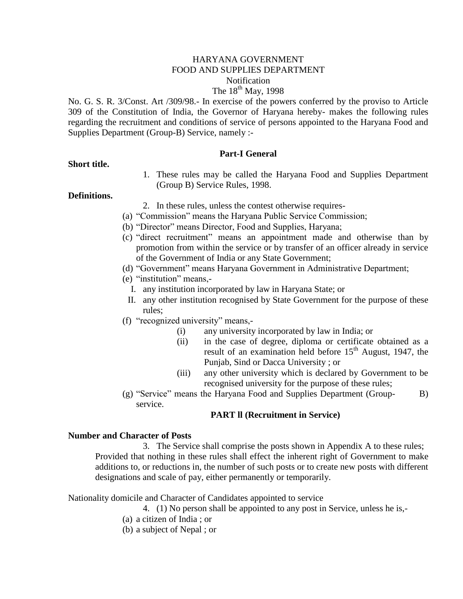### HARYANA GOVERNMENT FOOD AND SUPPLIES DEPARTMENT **Notification** The  $18^{th}$  May, 1998

No. G. S. R. 3/Const. Art /309/98.- In exercise of the powers conferred by the proviso to Article 309 of the Constitution of India, the Governor of Haryana hereby- makes the following rules regarding the recruitment and conditions of service of persons appointed to the Haryana Food and Supplies Department (Group-B) Service, namely :-

### **Part-I General**

#### **Short title.**

1. These rules may be called the Haryana Food and Supplies Department (Group B) Service Rules, 1998.

### **Definitions.**

- 2. In these rules, unless the contest otherwise requires-
- (a) "Commission" means the Haryana Public Service Commission;
- (b) "Director" means Director, Food and Supplies, Haryana;
- (c) "direct recruitment" means an appointment made and otherwise than by promotion from within the service or by transfer of an officer already in service of the Government of India or any State Government;
- (d) "Government" means Haryana Government in Administrative Department;
- (e) "institution" means,-
	- I. any institution incorporated by law in Haryana State; or
	- II. any other institution recognised by State Government for the purpose of these rules;
- (f) "recognized university" means,-
	- (i) any university incorporated by law in India; or
	- (ii) in the case of degree, diploma or certificate obtained as a result of an examination held before  $15<sup>th</sup>$  August, 1947, the Punjab, Sind or Dacca University ; or
	- (iii) any other university which is declared by Government to be recognised university for the purpose of these rules;
- (g) "Service" means the Haryana Food and Supplies Department (Group- B) service.

### **PART ll (Recruitment in Service)**

#### **Number and Character of Posts**

3. The Service shall comprise the posts shown in Appendix A to these rules; Provided that nothing in these rules shall effect the inherent right of Government to make additions to, or reductions in, the number of such posts or to create new posts with different designations and scale of pay, either permanently or temporarily.

Nationality domicile and Character of Candidates appointed to service

- 4. (1) No person shall be appointed to any post in Service, unless he is,-
- (a) a citizen of India ; or
- (b) a subject of Nepal ; or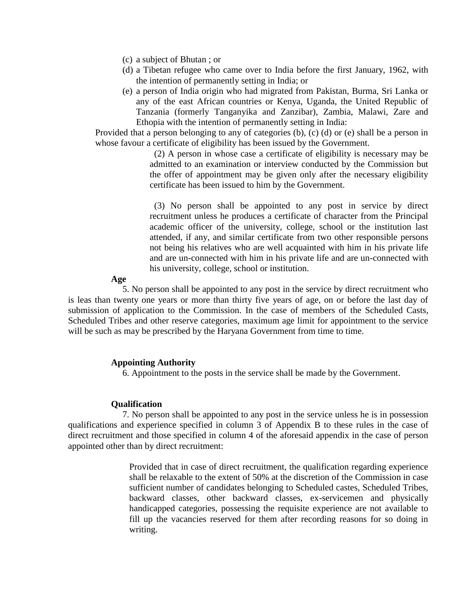- (c) a subject of Bhutan ; or
- (d) a Tibetan refugee who came over to India before the first January, 1962, with the intention of permanently setting in India; or
- (e) a person of India origin who had migrated from Pakistan, Burma, Sri Lanka or any of the east African countries or Kenya, Uganda, the United Republic of Tanzania (formerly Tanganyika and Zanzibar), Zambia, Malawi, Zare and Ethopia with the intention of permanently setting in India:

Provided that a person belonging to any of categories (b), (c) (d) or (e) shall be a person in whose favour a certificate of eligibility has been issued by the Government.

> (2) A person in whose case a certificate of eligibility is necessary may be admitted to an examination or interview conducted by the Commission but the offer of appointment may be given only after the necessary eligibility certificate has been issued to him by the Government.

> (3) No person shall be appointed to any post in service by direct recruitment unless he produces a certificate of character from the Principal academic officer of the university, college, school or the institution last attended, if any, and similar certificate from two other responsible persons not being his relatives who are well acquainted with him in his private life and are un-connected with him in his private life and are un-connected with his university, college, school or institution.

#### **Age**

5. No person shall be appointed to any post in the service by direct recruitment who is leas than twenty one years or more than thirty five years of age, on or before the last day of submission of application to the Commission. In the case of members of the Scheduled Casts, Scheduled Tribes and other reserve categories, maximum age limit for appointment to the service will be such as may be prescribed by the Haryana Government from time to time.

### **Appointing Authority**

6. Appointment to the posts in the service shall be made by the Government.

#### **Qualification**

7. No person shall be appointed to any post in the service unless he is in possession qualifications and experience specified in column 3 of Appendix B to these rules in the case of direct recruitment and those specified in column 4 of the aforesaid appendix in the case of person appointed other than by direct recruitment:

> Provided that in case of direct recruitment, the qualification regarding experience shall be relaxable to the extent of 50% at the discretion of the Commission in case sufficient number of candidates belonging to Scheduled castes, Scheduled Tribes, backward classes, other backward classes, ex-servicemen and physically handicapped categories, possessing the requisite experience are not available to fill up the vacancies reserved for them after recording reasons for so doing in writing.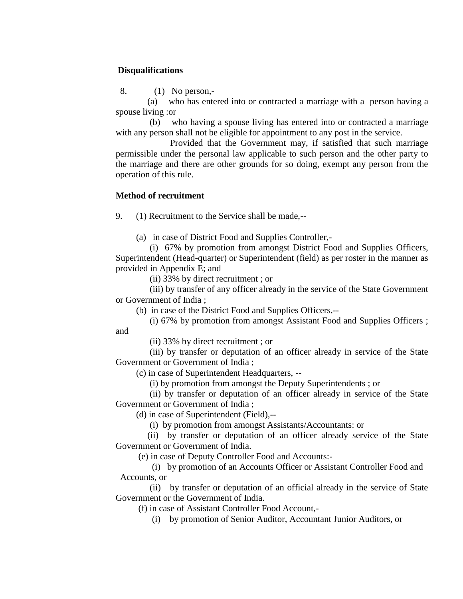### **Disqualifications**

8. (1) No person,-

 (a) who has entered into or contracted a marriage with a person having a spouse living :or

 (b) who having a spouse living has entered into or contracted a marriage with any person shall not be eligible for appointment to any post in the service.

 Provided that the Government may, if satisfied that such marriage permissible under the personal law applicable to such person and the other party to the marriage and there are other grounds for so doing, exempt any person from the operation of this rule.

## **Method of recruitment**

and

9. (1) Recruitment to the Service shall be made,--

(a) in case of District Food and Supplies Controller,-

(i) 67% by promotion from amongst District Food and Supplies Officers, Superintendent (Head-quarter) or Superintendent (field) as per roster in the manner as provided in Appendix E; and

(ii) 33% by direct recruitment ; or

(iii) by transfer of any officer already in the service of the State Government or Government of India ;

(b) in case of the District Food and Supplies Officers,--

(i) 67% by promotion from amongst Assistant Food and Supplies Officers ;

(ii) 33% by direct recruitment ; or

(iii) by transfer or deputation of an officer already in service of the State Government or Government of India ;

(c) in case of Superintendent Headquarters, --

(i) by promotion from amongst the Deputy Superintendents ; or

(ii) by transfer or deputation of an officer already in service of the State Government or Government of India ;

(d) in case of Superintendent (Field),--

(i) by promotion from amongst Assistants/Accountants: or

 (ii) by transfer or deputation of an officer already service of the State Government or Government of India.

(e) in case of Deputy Controller Food and Accounts:-

 (i) by promotion of an Accounts Officer or Assistant Controller Food and Accounts, or

 (ii) by transfer or deputation of an official already in the service of State Government or the Government of India.

(f) in case of Assistant Controller Food Account,-

(i) by promotion of Senior Auditor, Accountant Junior Auditors, or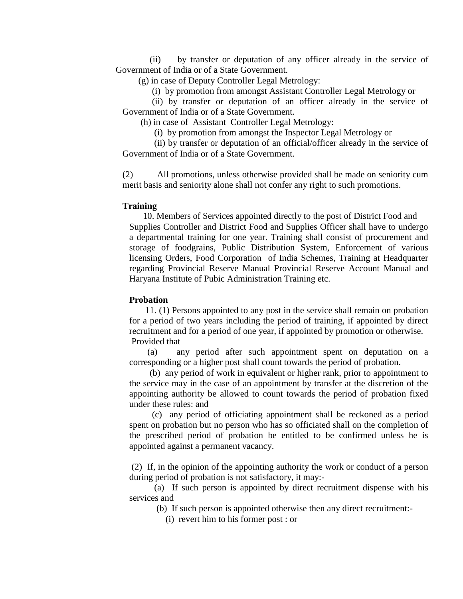(ii) by transfer or deputation of any officer already in the service of Government of India or of a State Government.

(g) in case of Deputy Controller Legal Metrology:

(i) by promotion from amongst Assistant Controller Legal Metrology or

 (ii) by transfer or deputation of an officer already in the service of Government of India or of a State Government.

(h) in case of Assistant Controller Legal Metrology:

(i) by promotion from amongst the Inspector Legal Metrology or

 (ii) by transfer or deputation of an official/officer already in the service of Government of India or of a State Government.

(2) All promotions, unless otherwise provided shall be made on seniority cum merit basis and seniority alone shall not confer any right to such promotions.

#### **Training**

 10. Members of Services appointed directly to the post of District Food and Supplies Controller and District Food and Supplies Officer shall have to undergo a departmental training for one year. Training shall consist of procurement and storage of foodgrains, Public Distribution System, Enforcement of various licensing Orders, Food Corporation of India Schemes, Training at Headquarter regarding Provincial Reserve Manual Provincial Reserve Account Manual and Haryana Institute of Pubic Administration Training etc.

#### **Probation**

 11. (1) Persons appointed to any post in the service shall remain on probation for a period of two years including the period of training, if appointed by direct recruitment and for a period of one year, if appointed by promotion or otherwise. Provided that –

 (a) any period after such appointment spent on deputation on a corresponding or a higher post shall count towards the period of probation.

 (b) any period of work in equivalent or higher rank, prior to appointment to the service may in the case of an appointment by transfer at the discretion of the appointing authority be allowed to count towards the period of probation fixed under these rules: and

 (c) any period of officiating appointment shall be reckoned as a period spent on probation but no person who has so officiated shall on the completion of the prescribed period of probation be entitled to be confirmed unless he is appointed against a permanent vacancy.

(2) If, in the opinion of the appointing authority the work or conduct of a person during period of probation is not satisfactory, it may:-

 (a) If such person is appointed by direct recruitment dispense with his services and

(b) If such person is appointed otherwise then any direct recruitment:-

(i) revert him to his former post : or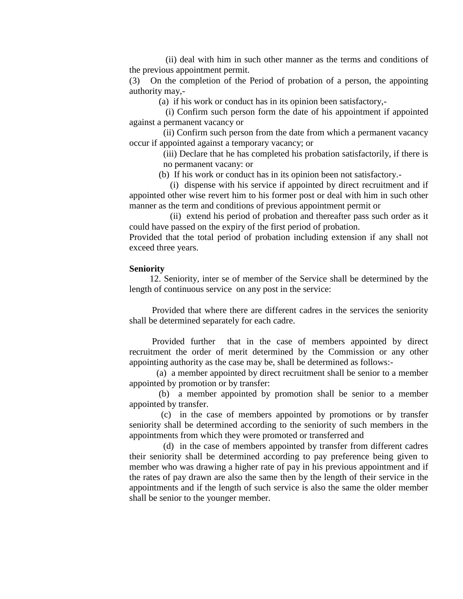(ii) deal with him in such other manner as the terms and conditions of the previous appointment permit.

(3) On the completion of the Period of probation of a person, the appointing authority may,-

(a) if his work or conduct has in its opinion been satisfactory,-

 (i) Confirm such person form the date of his appointment if appointed against a permanent vacancy or

 (ii) Confirm such person from the date from which a permanent vacancy occur if appointed against a temporary vacancy; or

> (iii) Declare that he has completed his probation satisfactorily, if there is no permanent vacany: or

(b) If his work or conduct has in its opinion been not satisfactory.-

 (i) dispense with his service if appointed by direct recruitment and if appointed other wise revert him to his former post or deal with him in such other manner as the term and conditions of previous appointment permit or

 (ii) extend his period of probation and thereafter pass such order as it could have passed on the expiry of the first period of probation.

Provided that the total period of probation including extension if any shall not exceed three years.

#### **Seniority**

12. Seniority, inter se of member of the Service shall be determined by the length of continuous service on any post in the service:

 Provided that where there are different cadres in the services the seniority shall be determined separately for each cadre.

 Provided further that in the case of members appointed by direct recruitment the order of merit determined by the Commission or any other appointing authority as the case may be, shall be determined as follows:-

 (a) a member appointed by direct recruitment shall be senior to a member appointed by promotion or by transfer:

 (b) a member appointed by promotion shall be senior to a member appointed by transfer.

 (c) in the case of members appointed by promotions or by transfer seniority shall be determined according to the seniority of such members in the appointments from which they were promoted or transferred and

 (d) in the case of members appointed by transfer from different cadres their seniority shall be determined according to pay preference being given to member who was drawing a higher rate of pay in his previous appointment and if the rates of pay drawn are also the same then by the length of their service in the appointments and if the length of such service is also the same the older member shall be senior to the younger member.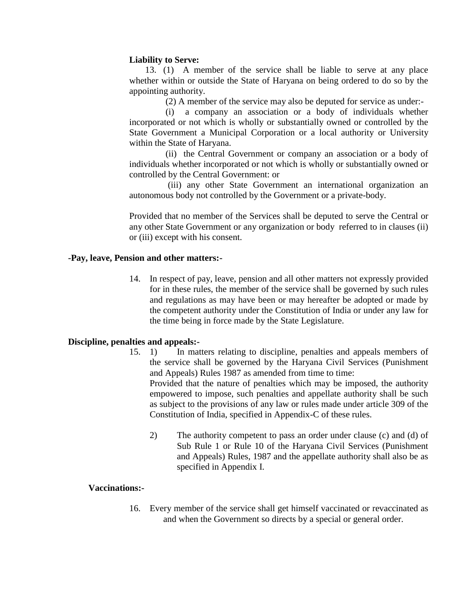### **Liability to Serve:**

13. (1) A member of the service shall be liable to serve at any place whether within or outside the State of Haryana on being ordered to do so by the appointing authority.

(2) A member of the service may also be deputed for service as under:-

 (i) a company an association or a body of individuals whether incorporated or not which is wholly or substantially owned or controlled by the State Government a Municipal Corporation or a local authority or University within the State of Haryana.

 (ii) the Central Government or company an association or a body of individuals whether incorporated or not which is wholly or substantially owned or controlled by the Central Government: or

 (iii) any other State Government an international organization an autonomous body not controlled by the Government or a private-body.

Provided that no member of the Services shall be deputed to serve the Central or any other State Government or any organization or body referred to in clauses (ii) or (iii) except with his consent.

### **-Pay, leave, Pension and other matters:-**

14. In respect of pay, leave, pension and all other matters not expressly provided for in these rules, the member of the service shall be governed by such rules and regulations as may have been or may hereafter be adopted or made by the competent authority under the Constitution of India or under any law for the time being in force made by the State Legislature.

#### **Discipline, penalties and appeals:-**

- 15. 1) In matters relating to discipline, penalties and appeals members of the service shall be governed by the Haryana Civil Services (Punishment and Appeals) Rules 1987 as amended from time to time: Provided that the nature of penalties which may be imposed, the authority empowered to impose, such penalties and appellate authority shall be such as subject to the provisions of any law or rules made under article 309 of the Constitution of India, specified in Appendix-C of these rules.
	- 2) The authority competent to pass an order under clause (c) and (d) of Sub Rule 1 or Rule 10 of the Haryana Civil Services (Punishment and Appeals) Rules, 1987 and the appellate authority shall also be as specified in Appendix I.

#### **Vaccinations:-**

16. Every member of the service shall get himself vaccinated or revaccinated as and when the Government so directs by a special or general order.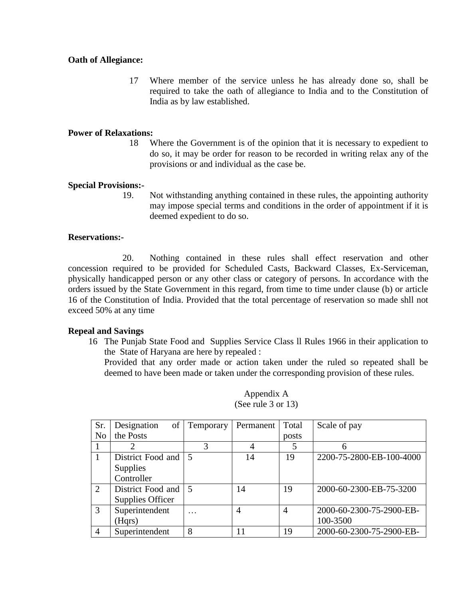### **Oath of Allegiance:**

17 Where member of the service unless he has already done so, shall be required to take the oath of allegiance to India and to the Constitution of India as by law established.

### **Power of Relaxations:**

18 Where the Government is of the opinion that it is necessary to expedient to do so, it may be order for reason to be recorded in writing relax any of the provisions or and individual as the case be.

### **Special Provisions:-**

19. Not withstanding anything contained in these rules, the appointing authority may impose special terms and conditions in the order of appointment if it is deemed expedient to do so.

### **Reservations:-**

20. Nothing contained in these rules shall effect reservation and other concession required to be provided for Scheduled Casts, Backward Classes, Ex-Serviceman, physically handicapped person or any other class or category of persons. In accordance with the orders issued by the State Government in this regard, from time to time under clause (b) or article 16 of the Constitution of India. Provided that the total percentage of reservation so made shll not exceed 50% at any time

#### **Repeal and Savings**

16 The Punjab State Food and Supplies Service Class ll Rules 1966 in their application to the State of Haryana are here by repealed :

Provided that any order made or action taken under the ruled so repeated shall be deemed to have been made or taken under the corresponding provision of these rules.

| Sr.                         | Designation<br>of l         | Temporary  | Permanent      | Total | Scale of pay             |
|-----------------------------|-----------------------------|------------|----------------|-------|--------------------------|
| N <sub>0</sub>              | the Posts                   |            |                | posts |                          |
|                             |                             | 3          | 4              | 5     | 6                        |
|                             | District Food and           | $\sqrt{5}$ | 14             | 19    | 2200-75-2800-EB-100-4000 |
|                             | <b>Supplies</b>             |            |                |       |                          |
|                             | Controller                  |            |                |       |                          |
| $\mathcal{D}_{\mathcal{L}}$ | District Food and $\vert$ 5 |            | 14             | 19    | 2000-60-2300-EB-75-3200  |
|                             | Supplies Officer            |            |                |       |                          |
| 3                           | Superintendent              |            | $\overline{4}$ | 4     | 2000-60-2300-75-2900-EB- |
|                             | (Hqrs)                      |            |                |       | 100-3500                 |
| $\overline{4}$              | Superintendent              | 8          | 11             | 19    | 2000-60-2300-75-2900-EB- |

Appendix A (See rule 3 or 13)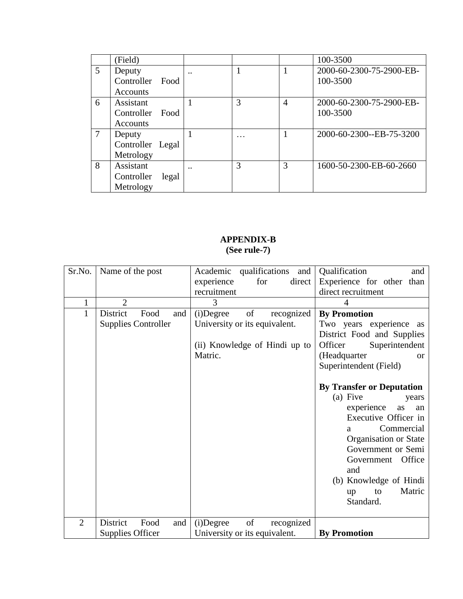|   | (Field)             |           |   |                | 100-3500                 |
|---|---------------------|-----------|---|----------------|--------------------------|
| 5 | Deputy              | $\cdot$ . |   |                | 2000-60-2300-75-2900-EB- |
|   | Controller<br>Food  |           |   |                | 100-3500                 |
|   | Accounts            |           |   |                |                          |
| 6 | Assistant           |           | 3 | $\overline{4}$ | 2000-60-2300-75-2900-EB- |
|   | Controller Food     |           |   |                | 100-3500                 |
|   | Accounts            |           |   |                |                          |
|   | Deputy              |           |   |                | 2000-60-2300--EB-75-3200 |
|   | Controller Legal    |           |   |                |                          |
|   | Metrology           |           |   |                |                          |
| 8 | Assistant           | $\cdot$ . | 3 | 3              | 1600-50-2300-EB-60-2660  |
|   | Controller<br>legal |           |   |                |                          |
|   | Metrology           |           |   |                |                          |

# **APPENDIX-B (See rule-7)**

| Sr.No.         | Name of the post                                      | Academic qualifications and                                                                                   | Qualification<br>and                                                                                                                                                                                                                                                                                                                                                                                       |
|----------------|-------------------------------------------------------|---------------------------------------------------------------------------------------------------------------|------------------------------------------------------------------------------------------------------------------------------------------------------------------------------------------------------------------------------------------------------------------------------------------------------------------------------------------------------------------------------------------------------------|
|                |                                                       | experience<br>direct<br>for                                                                                   | Experience for other than                                                                                                                                                                                                                                                                                                                                                                                  |
|                |                                                       | recruitment                                                                                                   | direct recruitment                                                                                                                                                                                                                                                                                                                                                                                         |
| $\mathbf{1}$   | $\overline{2}$                                        | 3                                                                                                             | 4                                                                                                                                                                                                                                                                                                                                                                                                          |
| $\mathbf{1}$   | District<br>Food<br>and<br><b>Supplies Controller</b> | of<br>recognized<br>$(i)$ Degree<br>University or its equivalent.<br>(ii) Knowledge of Hindi up to<br>Matric. | <b>By Promotion</b><br>Two years experience as<br>District Food and Supplies<br>Officer<br>Superintendent<br>(Headquarter<br><sub>or</sub><br>Superintendent (Field)<br><b>By Transfer or Deputation</b><br>(a) Five<br>years<br>experience<br>as<br>an<br>Executive Officer in<br>Commercial<br>a<br>Organisation or State<br>Government or Semi<br>Office<br>Government<br>and<br>(b) Knowledge of Hindi |
|                |                                                       |                                                                                                               | Matric<br>to<br>up<br>Standard.                                                                                                                                                                                                                                                                                                                                                                            |
|                |                                                       |                                                                                                               |                                                                                                                                                                                                                                                                                                                                                                                                            |
| $\overline{2}$ | District<br>Food<br>and                               | of<br>recognized<br>$(i)$ Degree<br>University or its equivalent.                                             |                                                                                                                                                                                                                                                                                                                                                                                                            |
|                | Supplies Officer                                      |                                                                                                               | <b>By Promotion</b>                                                                                                                                                                                                                                                                                                                                                                                        |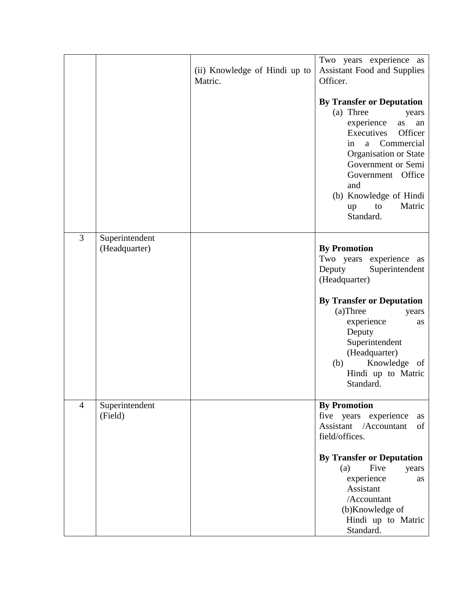|                |                                 | (ii) Knowledge of Hindi up to<br>Matric. | Two years experience as<br><b>Assistant Food and Supplies</b><br>Officer.                                                                                                                                                                                                       |
|----------------|---------------------------------|------------------------------------------|---------------------------------------------------------------------------------------------------------------------------------------------------------------------------------------------------------------------------------------------------------------------------------|
|                |                                 |                                          | <b>By Transfer or Deputation</b><br>(a) Three<br>years<br>experience<br>as<br>an<br>Executives<br>Officer<br>Commercial<br>a<br>in<br>Organisation or State<br>Government or Semi<br>Government Office<br>and<br>(b) Knowledge of Hindi<br>Matric<br>to<br>up<br>Standard.      |
| 3              | Superintendent<br>(Headquarter) |                                          | <b>By Promotion</b><br>Two years experience as<br>Deputy<br>Superintendent<br>(Headquarter)<br><b>By Transfer or Deputation</b><br>(a)Three<br>years<br>experience<br>as<br>Deputy<br>Superintendent<br>(Headquarter)<br>Knowledge of<br>(b)<br>Hindi up to Matric<br>Standard. |
| $\overline{4}$ | Superintendent<br>(Field)       |                                          | <b>By Promotion</b><br>five years experience<br>as<br>Assistant / Accountant<br>of<br>field/offices.<br><b>By Transfer or Deputation</b><br>Five<br>(a)<br>years<br>experience<br>as<br>Assistant<br>/Accountant<br>(b)Knowledge of<br>Hindi up to Matric<br>Standard.          |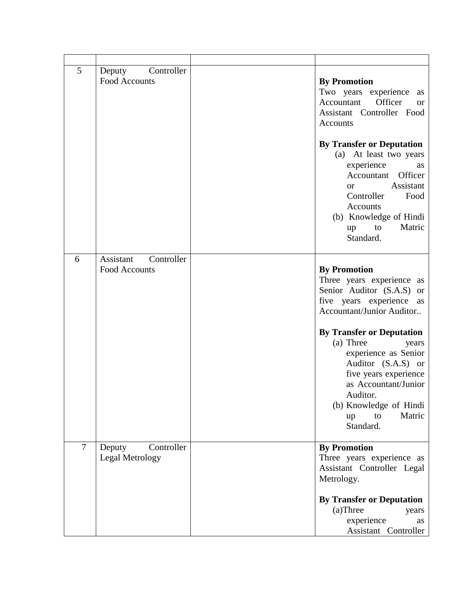| 5              | Controller<br>Deputy<br><b>Food Accounts</b> | <b>By Promotion</b><br>Two years experience<br>as<br>Accountant<br>Officer<br><sub>or</sub><br>Assistant Controller Food<br>Accounts                                                                                                        |
|----------------|----------------------------------------------|---------------------------------------------------------------------------------------------------------------------------------------------------------------------------------------------------------------------------------------------|
|                |                                              | <b>By Transfer or Deputation</b><br>(a) At least two years<br>experience<br>as<br>Officer<br>Accountant<br>Assistant<br><sub>or</sub><br>Controller<br>Food<br><b>Accounts</b><br>(b) Knowledge of Hindi<br>Matric<br>to<br>up<br>Standard. |
| 6              | Controller<br>Assistant<br>Food Accounts     | <b>By Promotion</b><br>Three years experience as<br>Senior Auditor (S.A.S) or<br>five years experience as<br>Accountant/Junior Auditor<br><b>By Transfer or Deputation</b><br>(a) Three<br>years<br>experience as Senior                    |
|                |                                              | Auditor (S.A.S) or<br>five years experience<br>as Accountant/Junior<br>Auditor.<br>(b) Knowledge of Hindi<br>Matric<br>to<br>up<br>Standard.                                                                                                |
| $\overline{7}$ | Controller<br>Deputy<br>Legal Metrology      | <b>By Promotion</b><br>Three years experience as<br>Assistant Controller Legal<br>Metrology.                                                                                                                                                |
|                |                                              | <b>By Transfer or Deputation</b><br>(a)Three<br>years<br>experience<br>as<br>Assistant Controller                                                                                                                                           |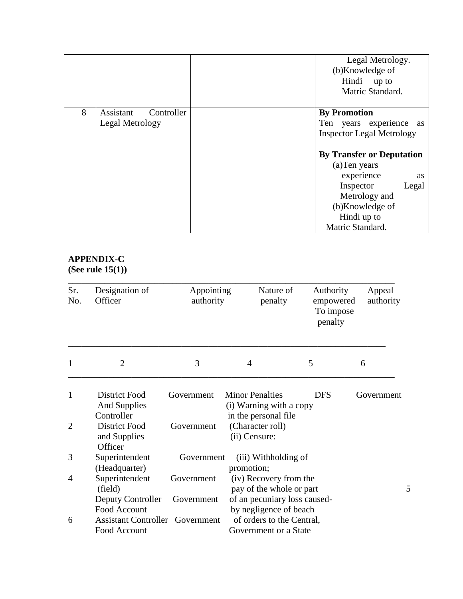|   |                                            | Legal Metrology.<br>(b)Knowledge of<br>Hindi up to<br>Matric Standard.                                                                                                                                                                                          |
|---|--------------------------------------------|-----------------------------------------------------------------------------------------------------------------------------------------------------------------------------------------------------------------------------------------------------------------|
| 8 | Controller<br>Assistant<br>Legal Metrology | <b>By Promotion</b><br>Ten years experience as<br><b>Inspector Legal Metrology</b><br><b>By Transfer or Deputation</b><br>(a) Ten years<br>experience<br><b>as</b><br>Inspector<br>Legal<br>Metrology and<br>(b)Knowledge of<br>Hindi up to<br>Matric Standard. |

# **APPENDIX-C**

**(See rule 15(1))**

| Sr.<br>No.     | Designation of<br>Officer                                   | Appointing<br>authority  | Nature of<br>penalty                                                               |            | Authority<br>Appeal<br>authority<br>empowered<br>To impose<br>penalty |
|----------------|-------------------------------------------------------------|--------------------------|------------------------------------------------------------------------------------|------------|-----------------------------------------------------------------------|
| 1              | $\overline{2}$                                              | 3                        | $\overline{4}$                                                                     | 5          | 6                                                                     |
| 1              | <b>District Food</b><br><b>And Supplies</b>                 | Government               | <b>Minor Penalties</b><br>(i) Warning with a copy                                  | <b>DFS</b> | Government                                                            |
| $\overline{2}$ | Controller<br><b>District Food</b><br>and Supplies          | Government               | in the personal file<br>(Character roll)<br>(ii) Censure:                          |            |                                                                       |
| 3              | Officer<br>Superintendent<br>(Headquarter)                  | Government               | (iii) Withholding of<br>promotion;                                                 |            |                                                                       |
| $\overline{4}$ | Superintendent<br>(field)<br><b>Deputy Controller</b>       | Government<br>Government | (iv) Recovery from the<br>pay of the whole or part<br>of an pecuniary loss caused- |            | 5                                                                     |
| 6              | Food Account<br><b>Assistant Controller</b><br>Food Account | Government               | by negligence of beach<br>of orders to the Central,<br>Government or a State       |            |                                                                       |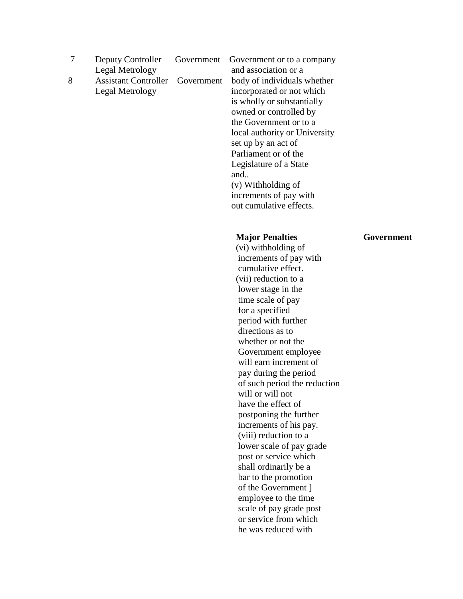| Deputy Controller | Government |
|-------------------|------------|
| Legal Metrology   |            |
|                   |            |

8 Assistant Controller Government body of individuals whether Legal Metrology incorporated or not which

Government or to a company and association or a is wholly or substantially owned or controlled by the Government or to a local authority or University set up by an act of Parliament or of the Legislature of a State and.. (v) Withholding of increments of pay with out cumulative effects.

### **Major Penalties Government**

(vi) withholding of increments of pay with cumulative effect. (vii) reduction to a lower stage in the time scale of pay for a specified period with further directions as to whether or not the Government employee will earn increment of pay during the period of such period the reduction will or will not have the effect of postponing the further increments of his pay. (viii) reduction to a lower scale of pay grade post or service which shall ordinarily be a bar to the promotion of the Government ] employee to the time scale of pay grade post or service from which he was reduced with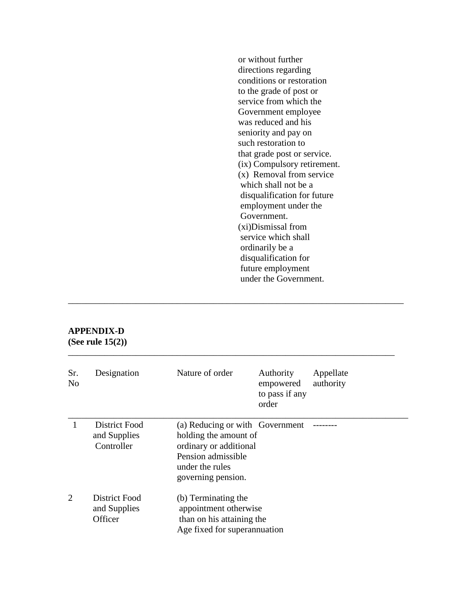or without further directions regarding conditions or restoration to the grade of post or service from which the Government employee was reduced and his seniority and pay on such restoration to that grade post or service. (ix) Compulsory retirement. (x) Removal from service which shall not be a disqualification for future employment under the Government. (xi)Dismissal from service which shall ordinarily be a disqualification for future employment under the Government.

## **APPENDIX-D (See rule 15(2))**

| Sr.<br>No | Designation                                     | Nature of order                                                                                                                                   | Authority<br>empowered<br>to pass if any<br>order | Appellate<br>authority |
|-----------|-------------------------------------------------|---------------------------------------------------------------------------------------------------------------------------------------------------|---------------------------------------------------|------------------------|
|           | District Food<br>and Supplies<br>Controller     | (a) Reducing or with Government<br>holding the amount of<br>ordinary or additional<br>Pension admissible<br>under the rules<br>governing pension. |                                                   |                        |
| 2         | <b>District Food</b><br>and Supplies<br>Officer | (b) Terminating the<br>appointment otherwise<br>than on his attaining the<br>Age fixed for superannuation                                         |                                                   |                        |

\_\_\_\_\_\_\_\_\_\_\_\_\_\_\_\_\_\_\_\_\_\_\_\_\_\_\_\_\_\_\_\_\_\_\_\_\_\_\_\_\_\_\_\_\_\_\_\_\_\_\_\_\_\_\_\_\_\_\_\_\_\_\_\_\_\_\_\_\_\_\_\_\_\_

\_\_\_\_\_\_\_\_\_\_\_\_\_\_\_\_\_\_\_\_\_\_\_\_\_\_\_\_\_\_\_\_\_\_\_\_\_\_\_\_\_\_\_\_\_\_\_\_\_\_\_\_\_\_\_\_\_\_\_\_\_\_\_\_\_\_\_\_\_\_\_\_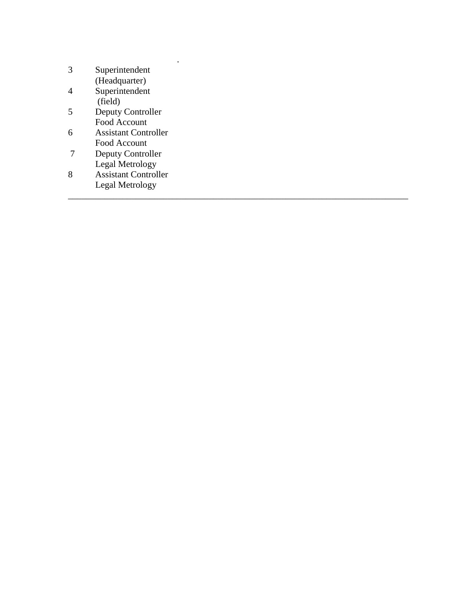| 3 | Superintendent              |
|---|-----------------------------|
|   | (Headquarter)               |
|   | Superintendent              |
|   | (field)                     |
| 5 | Deputy Controller           |
|   | Food Account                |
| 6 | <b>Assistant Controller</b> |
|   | Food Account                |
|   | <b>Deputy Controller</b>    |
|   | Legal Metrology             |
| 8 | <b>Assistant Controller</b> |
|   | Legal Metrology             |

\_\_\_\_\_\_\_\_\_\_\_\_\_\_\_\_\_\_\_\_\_\_\_\_\_\_\_\_\_\_\_\_\_\_\_\_\_\_\_\_\_\_\_\_\_\_\_\_\_\_\_\_\_\_\_\_\_\_\_\_\_\_\_\_\_\_\_\_\_\_\_\_\_\_\_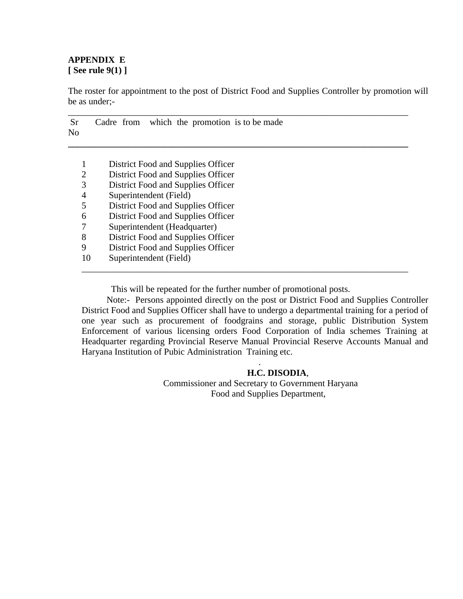## **APPENDIX E [ See rule 9(1) ]**

The roster for appointment to the post of District Food and Supplies Controller by promotion will be as under;-

\_\_\_\_\_\_\_\_\_\_\_\_\_\_\_\_\_\_\_\_\_\_\_\_\_\_\_\_\_\_\_\_\_\_\_\_\_\_\_\_\_\_\_\_\_\_\_\_\_\_\_\_\_\_\_\_\_\_\_\_\_\_\_\_\_\_\_\_\_\_\_\_\_\_\_

**\_\_\_\_\_\_\_\_\_\_\_\_\_\_\_\_\_\_\_\_\_\_\_\_\_\_\_\_\_\_\_\_\_\_\_\_\_\_\_\_\_\_\_\_\_\_\_\_\_\_\_\_\_\_\_\_\_\_\_\_\_\_\_\_\_\_\_\_\_\_\_\_\_\_\_**

Sr Cadre from which the promotion is to be made No

- 1 District Food and Supplies Officer
- 2 District Food and Supplies Officer
- 3 District Food and Supplies Officer
- 4 Superintendent (Field)
- 5 District Food and Supplies Officer
- 6 District Food and Supplies Officer
- 7 Superintendent (Headquarter)
- 8 District Food and Supplies Officer
- 9 District Food and Supplies Officer
- 10 Superintendent (Field)

This will be repeated for the further number of promotional posts.

\_\_\_\_\_\_\_\_\_\_\_\_\_\_\_\_\_\_\_\_\_\_\_\_\_\_\_\_\_\_\_\_\_\_\_\_\_\_\_\_\_\_\_\_\_\_\_\_\_\_\_\_\_\_\_\_\_\_\_\_\_\_\_\_\_\_\_\_\_\_\_\_

 Note:- Persons appointed directly on the post or District Food and Supplies Controller District Food and Supplies Officer shall have to undergo a departmental training for a period of one year such as procurement of foodgrains and storage, public Distribution System Enforcement of various licensing orders Food Corporation of India schemes Training at Headquarter regarding Provincial Reserve Manual Provincial Reserve Accounts Manual and Haryana Institution of Pubic Administration Training etc.

### . **H.C. DISODIA**,

 Commissioner and Secretary to Government Haryana Food and Supplies Department,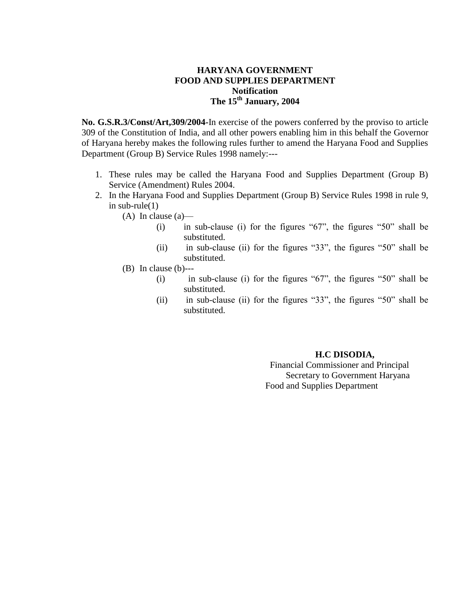## **HARYANA GOVERNMENT FOOD AND SUPPLIES DEPARTMENT Notification The 15th January, 2004**

**No. G.S.R.3/Const/Art,309/2004-**In exercise of the powers conferred by the proviso to article 309 of the Constitution of India, and all other powers enabling him in this behalf the Governor of Haryana hereby makes the following rules further to amend the Haryana Food and Supplies Department (Group B) Service Rules 1998 namely:---

- 1. These rules may be called the Haryana Food and Supplies Department (Group B) Service (Amendment) Rules 2004.
- 2. In the Haryana Food and Supplies Department (Group B) Service Rules 1998 in rule 9, in sub-rule $(1)$ 
	- (A) In clause  $(a)$ 
		- (i) in sub-clause (i) for the figures  $\degree$ 67", the figures  $\degree$ 50" shall be substituted.
		- (ii) in sub-clause (ii) for the figures  $\cdot$ 33", the figures  $\cdot$ 50" shall be substituted.
	- (B) In clause (b)---
		- (i) in sub-clause (i) for the figures  $-67$ , the figures  $-50$  shall be substituted.
		- (ii) in sub-clause (ii) for the figures  $\cdot$ 33", the figures  $\cdot$ 50" shall be substituted.

### **H.C DISODIA,**

 Financial Commissioner and Principal Secretary to Government Haryana Food and Supplies Department